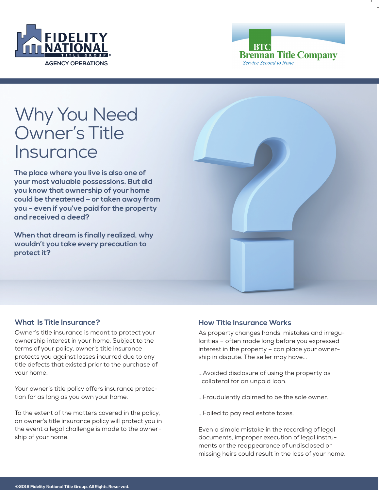



# Why You Need Owner's Title **Insurance**

**The place where you live is also one of your most valuable possessions. But did you know that ownership of your home could be threatened – or taken away from you – even if you've paid for the property and received a deed?**

**When that dream is finally realized, why wouldn't you take every precaution to protect it?**



## **What Is Title Insurance?**

Owner's title insurance is meant to protect your ownership interest in your home. Subject to the terms of your policy, owner's title insurance protects you against losses incurred due to any title defects that existed prior to the purchase of your home.

Your owner's title policy offers insurance protection for as long as you own your home.

To the extent of the matters covered in the policy, an owner's title insurance policy will protect you in the event a legal challenge is made to the ownership of your home.

## **How Title Insurance Works**

As property changes hands, mistakes and irregularities – often made long before you expressed interest in the property – can place your ownership in dispute. The seller may have...

- ...Avoided disclosure of using the property as collateral for an unpaid loan.
- ...Fraudulently claimed to be the sole owner.
- ...Failed to pay real estate taxes.

Even a simple mistake in the recording of legal documents, improper execution of legal instruments or the reappearance of undisclosed or missing heirs could result in the loss of your home.